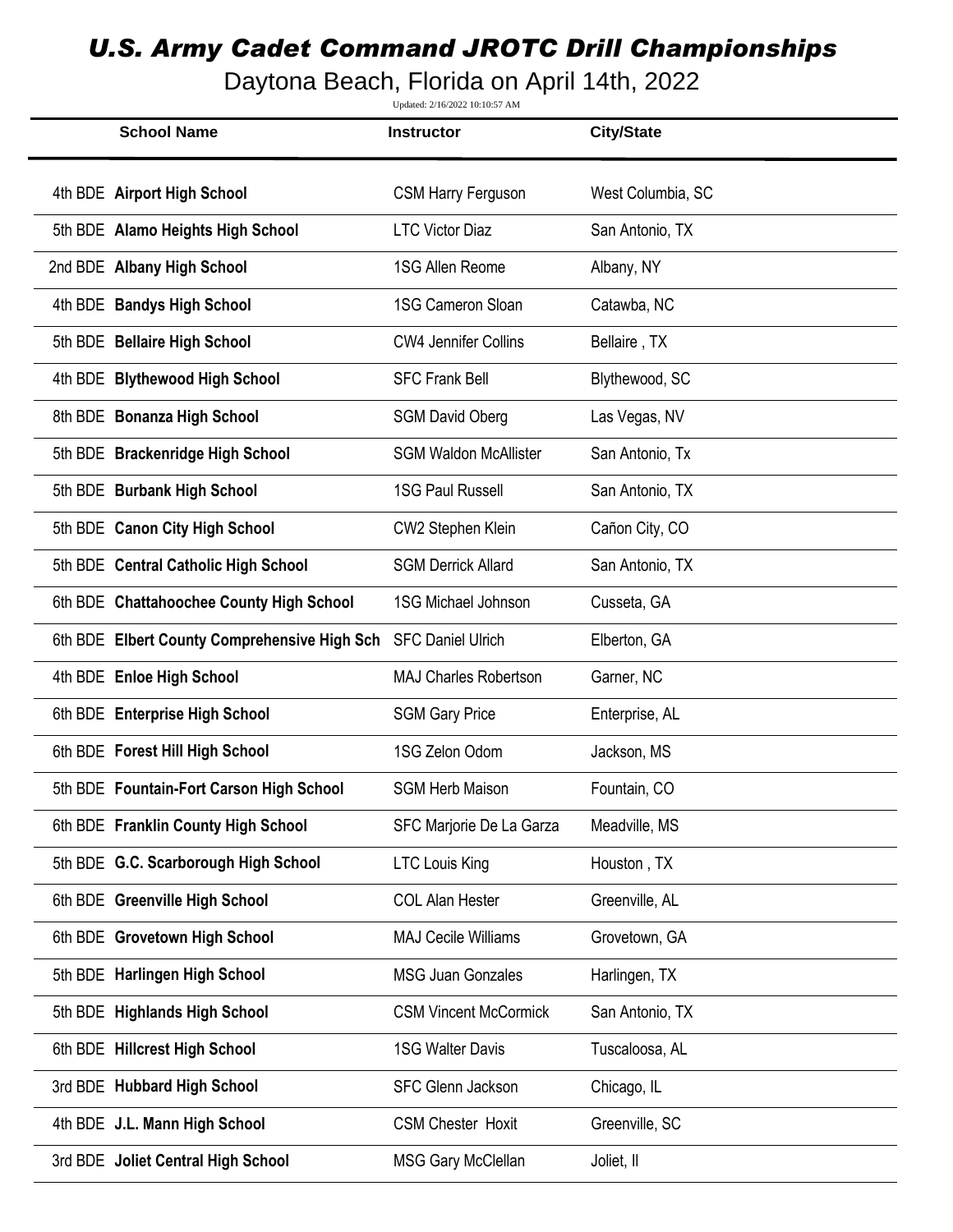## *U.S. Army Cadet Command JROTC Drill Championships*

Daytona Beach, Florida on April 14th, 2022

Updated: 2/16/2022 10:10:57 AM

| <b>School Name</b>                           | <b>Instructor</b>            | <b>City/State</b> |
|----------------------------------------------|------------------------------|-------------------|
| 4th BDE Airport High School                  | <b>CSM Harry Ferguson</b>    | West Columbia, SC |
| 5th BDE Alamo Heights High School            | <b>LTC Victor Diaz</b>       | San Antonio, TX   |
| 2nd BDE Albany High School                   | 1SG Allen Reome              | Albany, NY        |
| 4th BDE Bandys High School                   | 1SG Cameron Sloan            | Catawba, NC       |
| 5th BDE Bellaire High School                 | <b>CW4 Jennifer Collins</b>  | Bellaire, TX      |
| 4th BDE Blythewood High School               | <b>SFC Frank Bell</b>        | Blythewood, SC    |
| 8th BDE Bonanza High School                  | <b>SGM David Oberg</b>       | Las Vegas, NV     |
| 5th BDE Brackenridge High School             | <b>SGM Waldon McAllister</b> | San Antonio, Tx   |
| 5th BDE Burbank High School                  | <b>1SG Paul Russell</b>      | San Antonio, TX   |
| 5th BDE Canon City High School               | CW2 Stephen Klein            | Cañon City, CO    |
| 5th BDE Central Catholic High School         | <b>SGM Derrick Allard</b>    | San Antonio, TX   |
| 6th BDE Chattahoochee County High School     | <b>1SG Michael Johnson</b>   | Cusseta, GA       |
| 6th BDE Elbert County Comprehensive High Sch | <b>SFC Daniel Ulrich</b>     | Elberton, GA      |
| 4th BDE Enloe High School                    | <b>MAJ Charles Robertson</b> | Garner, NC        |
| 6th BDE Enterprise High School               | <b>SGM Gary Price</b>        | Enterprise, AL    |
| 6th BDE Forest Hill High School              | 1SG Zelon Odom               | Jackson, MS       |
| 5th BDE Fountain-Fort Carson High School     | <b>SGM Herb Maison</b>       | Fountain, CO      |
| 6th BDE Franklin County High School          | SFC Marjorie De La Garza     | Meadville, MS     |
| 5th BDE G.C. Scarborough High School         | <b>LTC Louis King</b>        | Houston, TX       |
| 6th BDE Greenville High School               | <b>COL Alan Hester</b>       | Greenville, AL    |
| 6th BDE Grovetown High School                | <b>MAJ Cecile Williams</b>   | Grovetown, GA     |
| 5th BDE Harlingen High School                | <b>MSG Juan Gonzales</b>     | Harlingen, TX     |
| 5th BDE Highlands High School                | <b>CSM Vincent McCormick</b> | San Antonio, TX   |
| 6th BDE Hillcrest High School                | <b>1SG Walter Davis</b>      | Tuscaloosa, AL    |
| 3rd BDE Hubbard High School                  | <b>SFC Glenn Jackson</b>     | Chicago, IL       |
| 4th BDE J.L. Mann High School                | <b>CSM Chester Hoxit</b>     | Greenville, SC    |
| 3rd BDE Joliet Central High School           | <b>MSG Gary McClellan</b>    | Joliet, II        |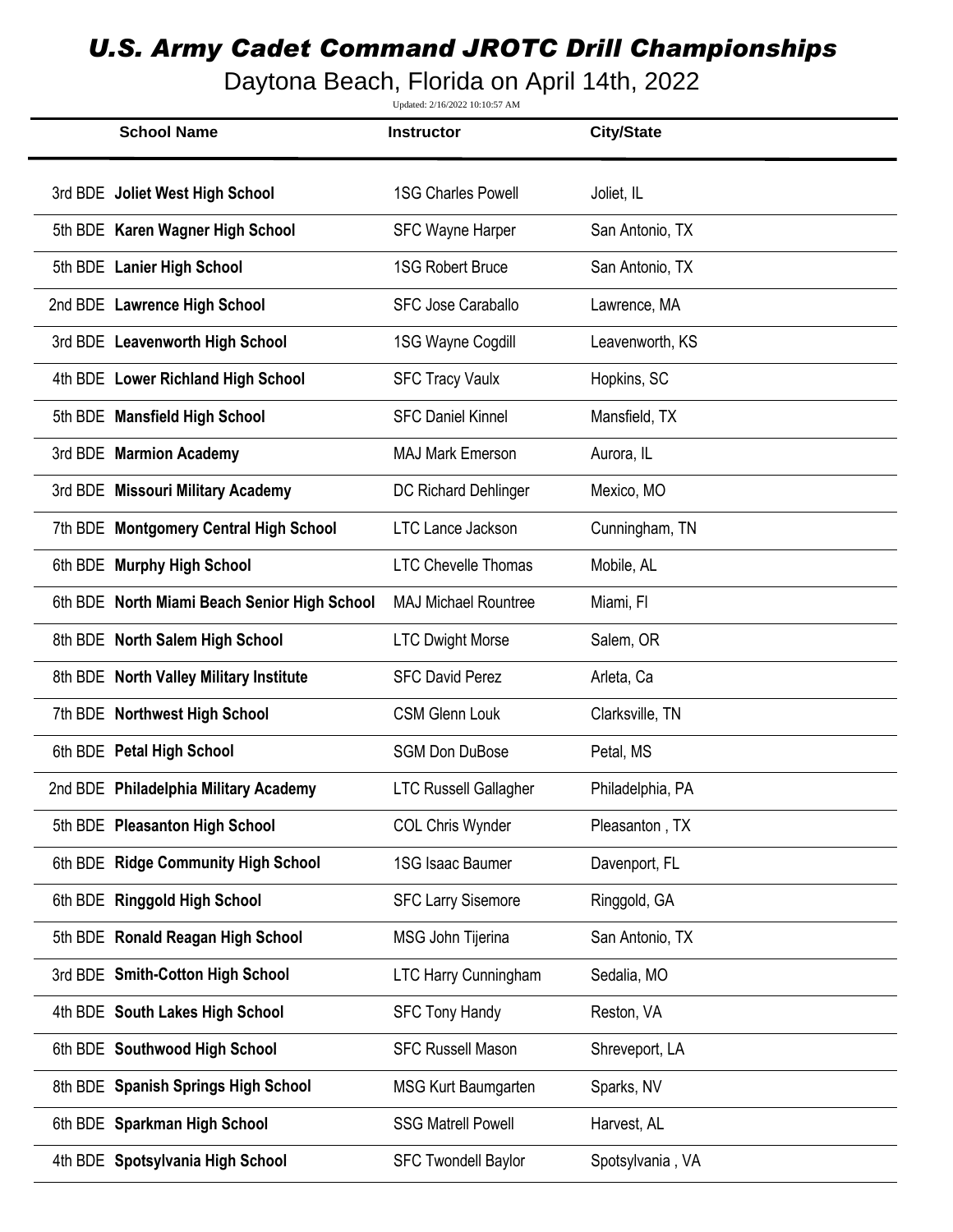## *U.S. Army Cadet Command JROTC Drill Championships*

Daytona Beach, Florida on April 14th, 2022

Updated: 2/16/2022 10:10:57 AM

| <b>School Name</b>                           | <b>Instructor</b>            | <b>City/State</b> |
|----------------------------------------------|------------------------------|-------------------|
| 3rd BDE Joliet West High School              | <b>1SG Charles Powell</b>    | Joliet, IL        |
| 5th BDE Karen Wagner High School             | <b>SFC Wayne Harper</b>      | San Antonio, TX   |
| 5th BDE Lanier High School                   | <b>1SG Robert Bruce</b>      | San Antonio, TX   |
| 2nd BDE Lawrence High School                 | <b>SFC Jose Caraballo</b>    | Lawrence, MA      |
| 3rd BDE Leavenworth High School              | 1SG Wayne Cogdill            | Leavenworth, KS   |
| 4th BDE Lower Richland High School           | <b>SFC Tracy Vaulx</b>       | Hopkins, SC       |
| 5th BDE Mansfield High School                | <b>SFC Daniel Kinnel</b>     | Mansfield, TX     |
| 3rd BDE Marmion Academy                      | <b>MAJ Mark Emerson</b>      | Aurora, IL        |
| 3rd BDE Missouri Military Academy            | DC Richard Dehlinger         | Mexico, MO        |
| 7th BDE Montgomery Central High School       | <b>LTC Lance Jackson</b>     | Cunningham, TN    |
| 6th BDE Murphy High School                   | <b>LTC Chevelle Thomas</b>   | Mobile, AL        |
| 6th BDE North Miami Beach Senior High School | <b>MAJ Michael Rountree</b>  | Miami, Fl         |
| 8th BDE North Salem High School              | <b>LTC Dwight Morse</b>      | Salem, OR         |
| 8th BDE North Valley Military Institute      | <b>SFC David Perez</b>       | Arleta, Ca        |
| 7th BDE Northwest High School                | <b>CSM Glenn Louk</b>        | Clarksville, TN   |
| 6th BDE Petal High School                    | <b>SGM Don DuBose</b>        | Petal, MS         |
| 2nd BDE Philadelphia Military Academy        | <b>LTC Russell Gallagher</b> | Philadelphia, PA  |
| 5th BDE Pleasanton High School               | <b>COL Chris Wynder</b>      | Pleasanton, TX    |
| 6th BDE Ridge Community High School          | 1SG Isaac Baumer             | Davenport, FL     |
| 6th BDE Ringgold High School                 | <b>SFC Larry Sisemore</b>    | Ringgold, GA      |
| 5th BDE Ronald Reagan High School            | MSG John Tijerina            | San Antonio, TX   |
| 3rd BDE Smith-Cotton High School             | <b>LTC Harry Cunningham</b>  | Sedalia, MO       |
| 4th BDE South Lakes High School              | <b>SFC Tony Handy</b>        | Reston, VA        |
| 6th BDE Southwood High School                | <b>SFC Russell Mason</b>     | Shreveport, LA    |
| 8th BDE Spanish Springs High School          | <b>MSG Kurt Baumgarten</b>   | Sparks, NV        |
| 6th BDE Sparkman High School                 | <b>SSG Matrell Powell</b>    | Harvest, AL       |
| 4th BDE Spotsylvania High School             | <b>SFC Twondell Baylor</b>   | Spotsylvania, VA  |